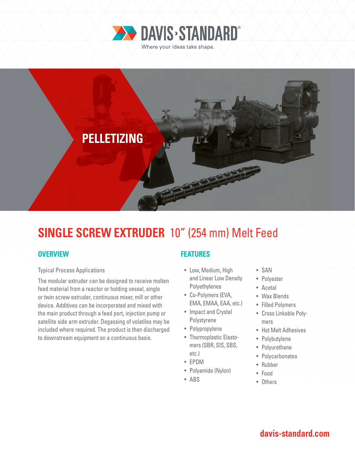



# **SINGLE SCREW EXTRUDER** 10" (254 mm) Melt Feed

## **OVERVIEW**

#### Typical Process Applications

The modular extruder can be designed to receive molten feed material from a reactor or holding vessel, single or twin screw extruder, continuous mixer, mill or other device. Additives can be incorporated and mixed with the main product through a feed port, injection pump or satellite side arm extruder. Degassing of volatiles may be included where required. The product is then discharged to downstream equipment on a continuous basis.

## **FEATURES**

- Low, Medium, High and Linear Low Density **Polyethylenes**
- Co-Polymers (EVA, EMA, EMAA, EAA, etc.)
- Impact and Crystal Polystyrene
- Polypropylene
- Thermoplastic Elastomers (SBR, SIS, SBS, etc.)
- EPDM
- Polyamide (Nylon)
- ABS
- SAN
- Polyester
- Acetal
- Wax Blends
- Filled Polymers
- Cross Linkable Polymers
- Hot Melt Adhesives
- Polybutylene
- Polyurethane
- Polycarbonates
- Rubber
- Food
- Others

## **davis-standard.com**